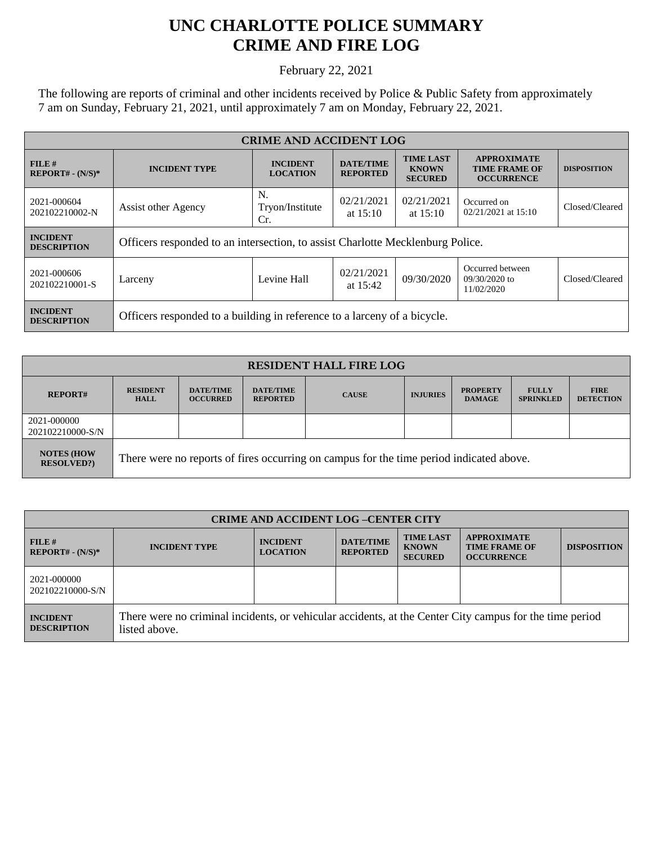## **UNC CHARLOTTE POLICE SUMMARY CRIME AND FIRE LOG**

February 22, 2021

The following are reports of criminal and other incidents received by Police & Public Safety from approximately 7 am on Sunday, February 21, 2021, until approximately 7 am on Monday, February 22, 2021.

| <b>CRIME AND ACCIDENT LOG</b>         |                                                                                |                                    |                                     |                                                    |                                                                 |                    |  |
|---------------------------------------|--------------------------------------------------------------------------------|------------------------------------|-------------------------------------|----------------------------------------------------|-----------------------------------------------------------------|--------------------|--|
| FILE#<br>$REPORT# - (N/S)*$           | <b>INCIDENT TYPE</b>                                                           | <b>INCIDENT</b><br><b>LOCATION</b> | <b>DATE/TIME</b><br><b>REPORTED</b> | <b>TIME LAST</b><br><b>KNOWN</b><br><b>SECURED</b> | <b>APPROXIMATE</b><br><b>TIME FRAME OF</b><br><b>OCCURRENCE</b> | <b>DISPOSITION</b> |  |
| 2021-000604<br>202102210002-N         | Assist other Agency                                                            | N.<br>Tryon/Institute<br>Cr.       | 02/21/2021<br>at $15:10$            | 02/21/2021<br>at $15:10$                           | Occurred on<br>02/21/2021 at 15:10                              | Closed/Cleared     |  |
| <b>INCIDENT</b><br><b>DESCRIPTION</b> | Officers responded to an intersection, to assist Charlotte Mecklenburg Police. |                                    |                                     |                                                    |                                                                 |                    |  |
| 2021-000606<br>202102210001-S         | Larceny                                                                        | Levine Hall                        | 02/21/2021<br>at $15:42$            | 09/30/2020                                         | Occurred between<br>$09/30/2020$ to<br>11/02/2020               | Closed/Cleared     |  |
| <b>INCIDENT</b><br><b>DESCRIPTION</b> | Officers responded to a building in reference to a larceny of a bicycle.       |                                    |                                     |                                                    |                                                                 |                    |  |

| <b>RESIDENT HALL FIRE LOG</b>         |                                                                                         |                                     |                                     |              |                 |                                  |                                  |                                 |
|---------------------------------------|-----------------------------------------------------------------------------------------|-------------------------------------|-------------------------------------|--------------|-----------------|----------------------------------|----------------------------------|---------------------------------|
| <b>REPORT#</b>                        | <b>RESIDENT</b><br><b>HALL</b>                                                          | <b>DATE/TIME</b><br><b>OCCURRED</b> | <b>DATE/TIME</b><br><b>REPORTED</b> | <b>CAUSE</b> | <b>INJURIES</b> | <b>PROPERTY</b><br><b>DAMAGE</b> | <b>FULLY</b><br><b>SPRINKLED</b> | <b>FIRE</b><br><b>DETECTION</b> |
| 2021-000000<br>202102210000-S/N       |                                                                                         |                                     |                                     |              |                 |                                  |                                  |                                 |
| <b>NOTES (HOW</b><br><b>RESOLVED?</b> | There were no reports of fires occurring on campus for the time period indicated above. |                                     |                                     |              |                 |                                  |                                  |                                 |

| <b>CRIME AND ACCIDENT LOG-CENTER CITY</b> |                                                                                                                          |                                    |                                     |                                                    |                                                                 |                    |
|-------------------------------------------|--------------------------------------------------------------------------------------------------------------------------|------------------------------------|-------------------------------------|----------------------------------------------------|-----------------------------------------------------------------|--------------------|
| FILE#<br>$REPORT# - (N/S)*$               | <b>INCIDENT TYPE</b>                                                                                                     | <b>INCIDENT</b><br><b>LOCATION</b> | <b>DATE/TIME</b><br><b>REPORTED</b> | <b>TIME LAST</b><br><b>KNOWN</b><br><b>SECURED</b> | <b>APPROXIMATE</b><br><b>TIME FRAME OF</b><br><b>OCCURRENCE</b> | <b>DISPOSITION</b> |
| 2021-000000<br>202102210000-S/N           |                                                                                                                          |                                    |                                     |                                                    |                                                                 |                    |
| <b>INCIDENT</b><br><b>DESCRIPTION</b>     | There were no criminal incidents, or vehicular accidents, at the Center City campus for the time period<br>listed above. |                                    |                                     |                                                    |                                                                 |                    |